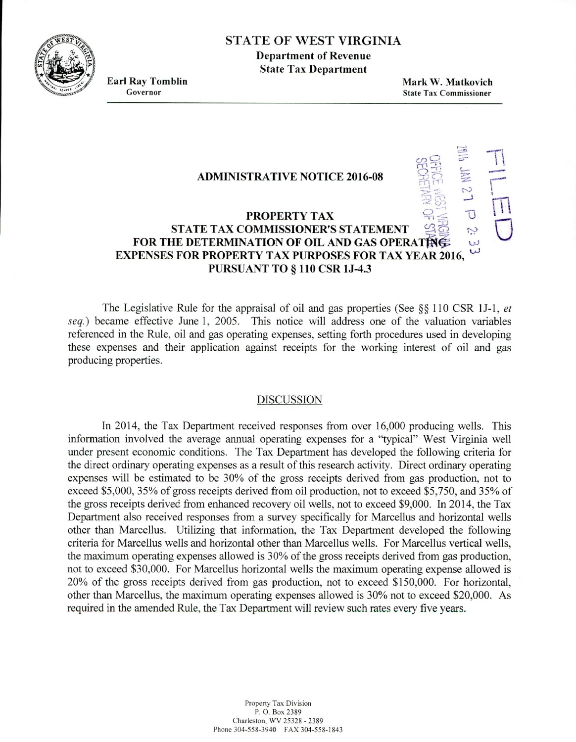**Fsr** STATE OF WEST VIRGINIA

**Department of Revenue State Tax Department**

**Earl Ray Tomblin Mark W. Matkovich State Tax Commissioner** 

**France** 

 $\bigcup_{\alpha\in\mathbb{Z}}$ 

LJ

## **ADMINISTRATIVE NOTICE 2016-08**

## **PROPERTY TAX - STATE TAX COMMISSIONER'S STATEMENT**  $\mathfrak{D}$ **FOR THE DETERMINATION OF OIL AND GAS OPERATING:** EXPENSES FOR PROPERTY TAX PURPOSES FOR TAX YEAR 2016, PURSUANT **TO** § **110 CSR 1J-4.3**

The Legislative Rule for the appraisal of oil and gas properties (See  $\S$ § 110 CSR 1J-1, *et* seq.) became effective June 1, 2005. This notice will address one of the valuation variables referenced in the Rule, oil and gas operating expenses, setting forth procedures used in developing these expenses and their application against receipts for the working interest of oil and gas producing properties.

## DISCUSSION

In 2014, the Tax Department received responses from over 16,000 producing wells. This information involved the average annual operating expenses for a "typical" West Virginia well under present economic conditions. The Tax Department has developed the following criteria for the direct ordinary operating expenses as a result of this research activity. Direct ordinary operating expenses will be estimated to be 30% of the gross receipts derived from gas production, not to exceed \$5,000, 35% of gross receipts derived from oil production, not to exceed *\$5,750,* and *35%* of the gross receipts derived from enhanced recovery oil wells, not to exceed \$9,000. In 2014, the Tax Department also received responses from a survey specifically for Marcellus and horizontal wells other than Marcellus. Utilizing that information, the Tax Department developed the following criteria for Marcellus wells and horizontal other than Marcellus wells. For Marcellus vertical wells, the maximum operating expenses allowed is 30% of the gross receipts derived from gas production, not to exceed \$30,000. For Marcellus horizontal wells the maximum operating expense allowed is 20% of the gross receipts derived from gas production, not to exceed \$150,000. For horizontal, other than Marcellus, the maximum operating expenses allowed is 30% not to exceed \$20,000. As required in the amended Rule, the Tax Department will review such rates every five years.